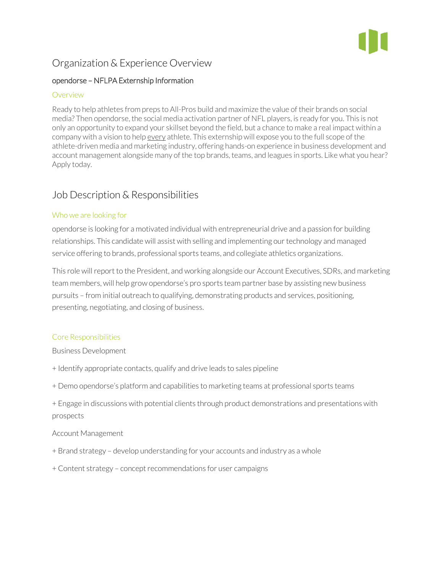

# Organization & Experience Overview

### opendorse – NFLPA Externship Information

#### **Overview**

Ready to help athletes from preps to All-Pros build and maximize the value of their brands on social media? Then opendorse, the social media activation partner of NFL players, is ready for you. This is not only an opportunity to expand your skillset beyond the field, but a chance to make a real impact within a company with a vision to help every athlete. This externship will expose you to the full scope of the athlete-driven media and marketing industry, offering hands-on experience in business development and account management alongside many of the top brands, teams, and leagues in sports. Like what you hear? Apply today.

## Job Description & Responsibilities

#### Who we are looking for

opendorse is looking for a motivated individual with entrepreneurial drive and a passion for building relationships. This candidate will assist with selling and implementing our technology and managed service offering to brands, professional sports teams, and collegiate athletics organizations.

This role will report to the President, and working alongside our Account Executives, SDRs, and marketing team members, will help grow opendorse's pro sports team partner base by assisting new business pursuits – from initial outreach to qualifying, demonstrating products and services, positioning, presenting, negotiating, and closing of business.

#### Core Responsibilities

Business Development

- + Identify appropriate contacts, qualify and drive leads to sales pipeline
- + Demo opendorse's platform and capabilities to marketing teams at professional sports teams
- + Engage in discussions with potential clients through product demonstrations and presentations with prospects

#### Account Management

- + Brand strategy develop understanding for your accounts and industry as a whole
- + Content strategy concept recommendations for user campaigns